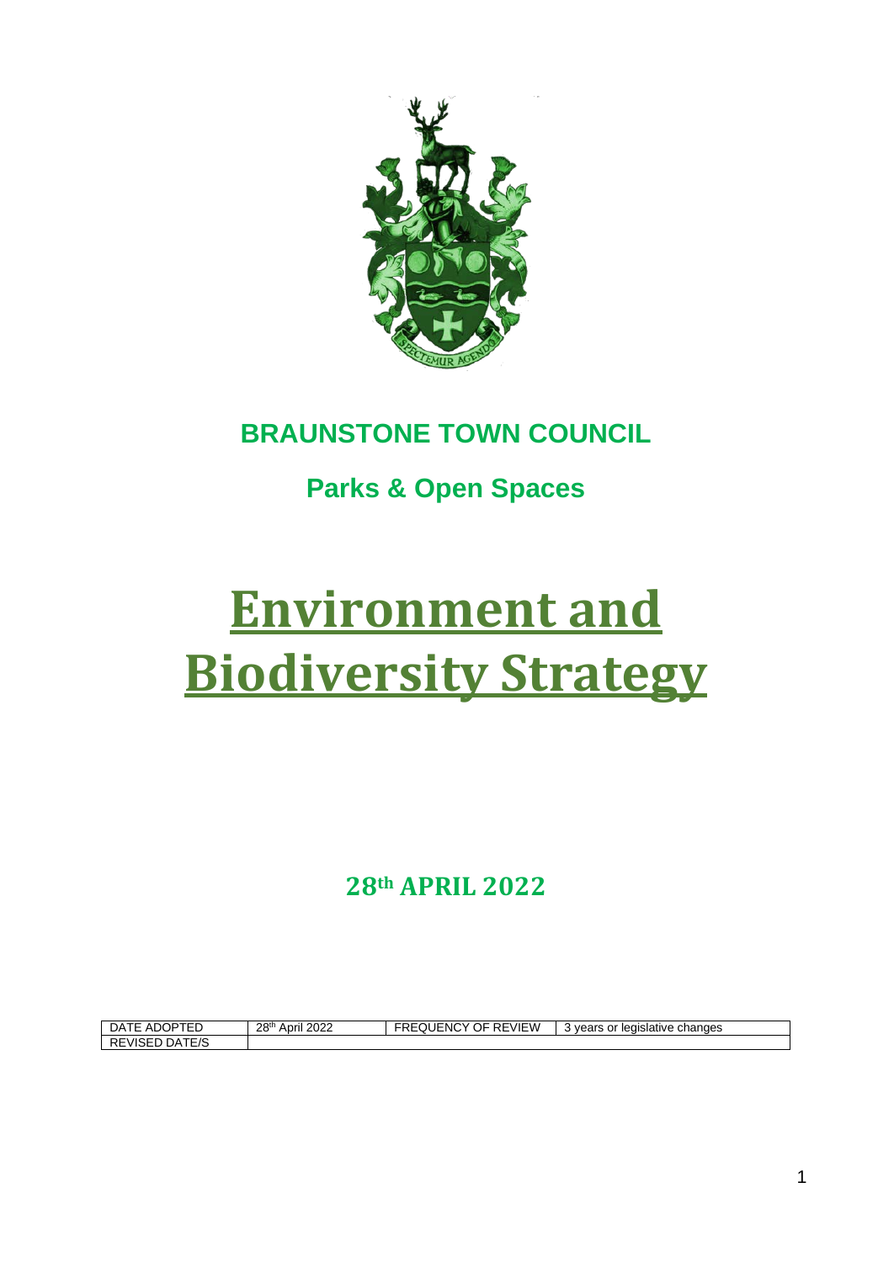

## **BRAUNSTONE TOWN COUNCIL**

# **Parks & Open Spaces**

# **Environment and Biodiversity Strategy**

**28th APRIL 2022**

| ADOPTER<br>DA<br>$\vdash$     | 2022<br>28 <sup>th</sup><br>April | REVIEW<br>$\sim$ $-$<br>$I = 1011$<br>JF.<br>EQUENC' | changes<br>vears or<br>legislative |
|-------------------------------|-----------------------------------|------------------------------------------------------|------------------------------------|
| DATE/S<br>-<br><b>REVISED</b> |                                   |                                                      |                                    |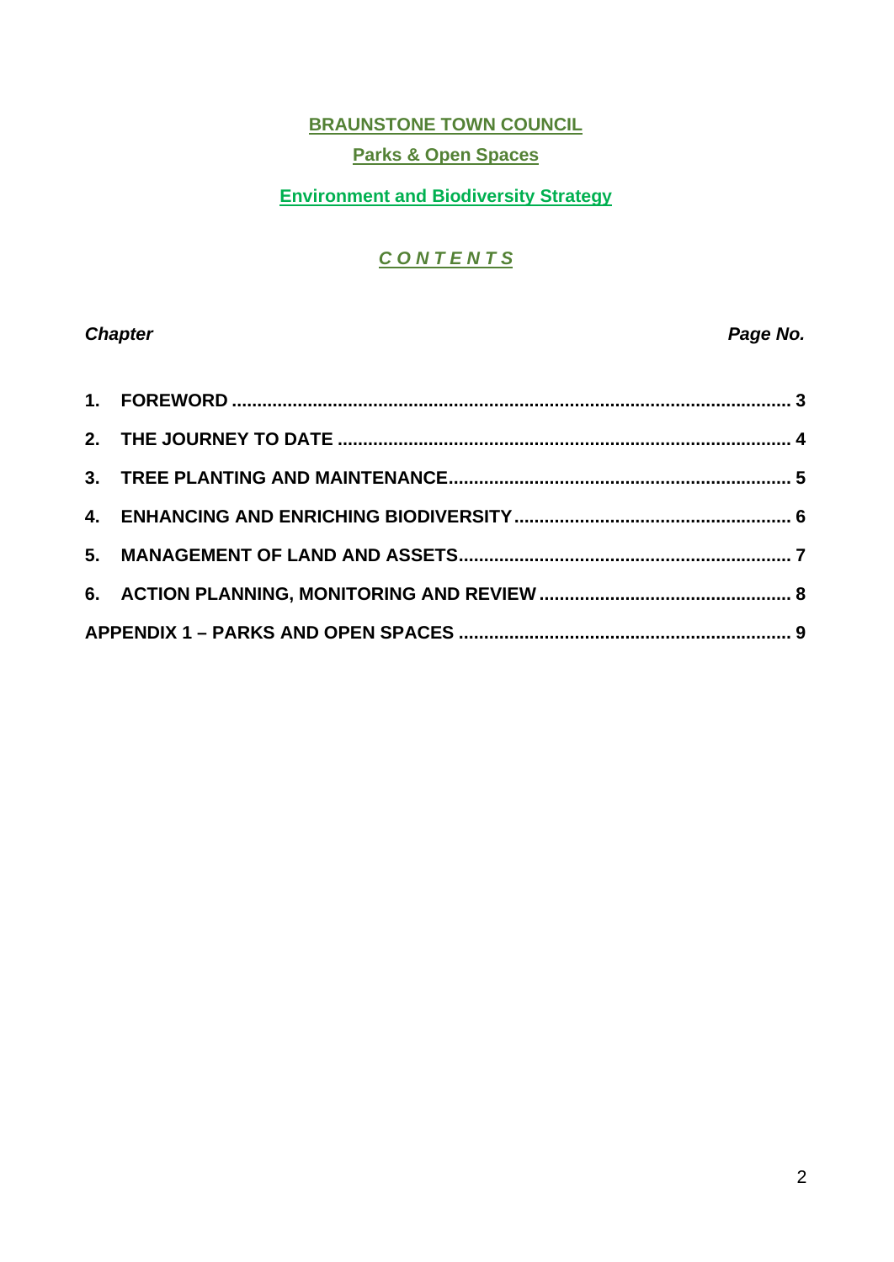#### **BRAUNSTONE TOWN COUNCIL Parks & Open Spaces**

#### **Environment and Biodiversity Strategy**

### *C O N T E N T S*

#### **Chapter Chapter Chapter Chapter Chapter Chapter Chapter Chapter Chapter Chapter Chapter Chapter Chapter Chapter Chapter Chapter Chapter Chapter Chapter Chapter Chapter Chapter Chapter Chapter Chapter Chapter Chapter Chapt**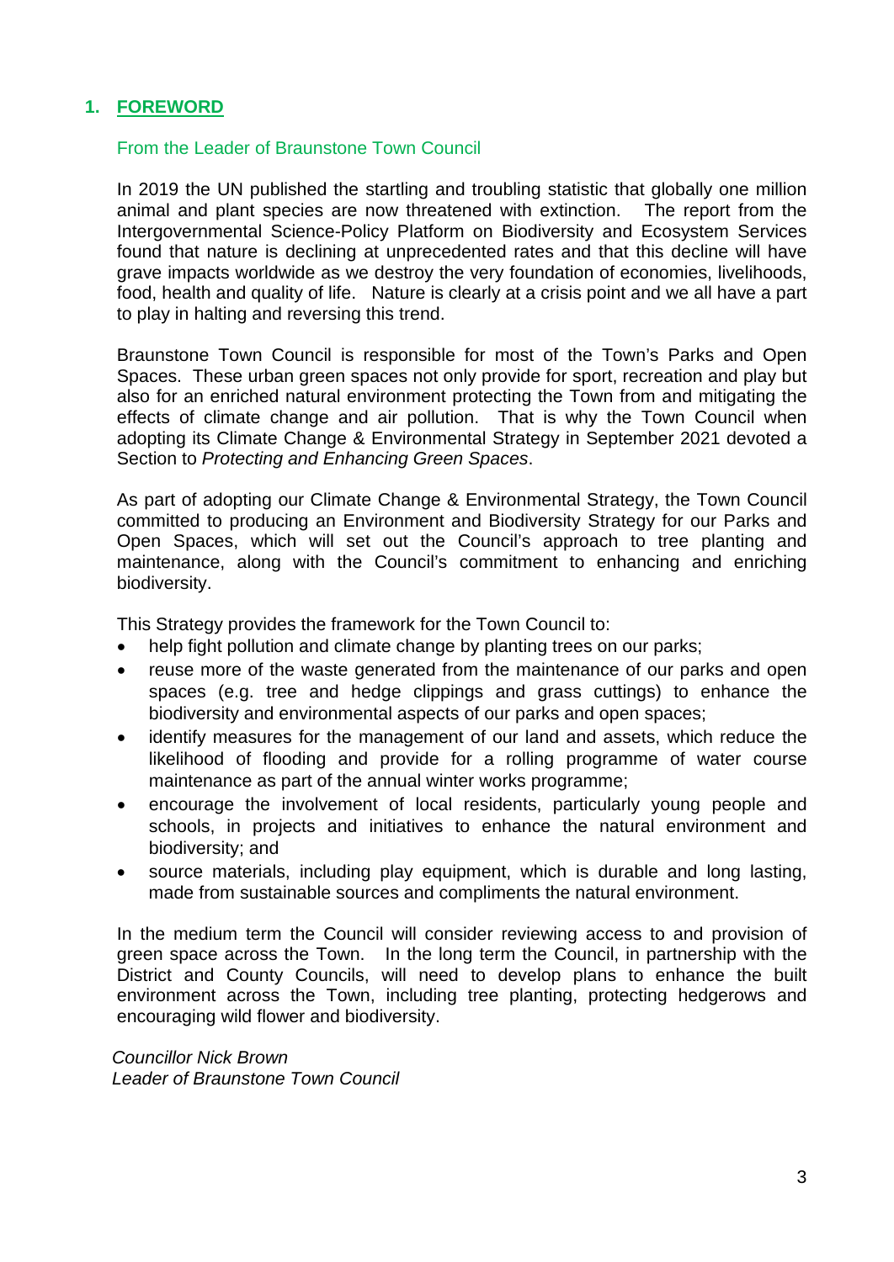#### <span id="page-2-0"></span>**1. FOREWORD**

#### From the Leader of Braunstone Town Council

In 2019 the UN published the startling and troubling statistic that globally one million animal and plant species are now threatened with extinction. The report from the Intergovernmental Science-Policy Platform on Biodiversity and Ecosystem Services found that nature is declining at unprecedented rates and that this decline will have grave impacts worldwide as we destroy the very foundation of economies, livelihoods, food, health and quality of life. Nature is clearly at a crisis point and we all have a part to play in halting and reversing this trend.

Braunstone Town Council is responsible for most of the Town's Parks and Open Spaces. These urban green spaces not only provide for sport, recreation and play but also for an enriched natural environment protecting the Town from and mitigating the effects of climate change and air pollution. That is why the Town Council when adopting its Climate Change & Environmental Strategy in September 2021 devoted a Section to *Protecting and Enhancing Green Spaces*.

As part of adopting our Climate Change & Environmental Strategy, the Town Council committed to producing an Environment and Biodiversity Strategy for our Parks and Open Spaces, which will set out the Council's approach to tree planting and maintenance, along with the Council's commitment to enhancing and enriching biodiversity.

This Strategy provides the framework for the Town Council to:

- help fight pollution and climate change by planting trees on our parks;
- reuse more of the waste generated from the maintenance of our parks and open spaces (e.g. tree and hedge clippings and grass cuttings) to enhance the biodiversity and environmental aspects of our parks and open spaces;
- identify measures for the management of our land and assets, which reduce the likelihood of flooding and provide for a rolling programme of water course maintenance as part of the annual winter works programme;
- encourage the involvement of local residents, particularly young people and schools, in projects and initiatives to enhance the natural environment and biodiversity; and
- source materials, including play equipment, which is durable and long lasting, made from sustainable sources and compliments the natural environment.

In the medium term the Council will consider reviewing access to and provision of green space across the Town. In the long term the Council, in partnership with the District and County Councils, will need to develop plans to enhance the built environment across the Town, including tree planting, protecting hedgerows and encouraging wild flower and biodiversity.

*Councillor Nick Brown Leader of Braunstone Town Council*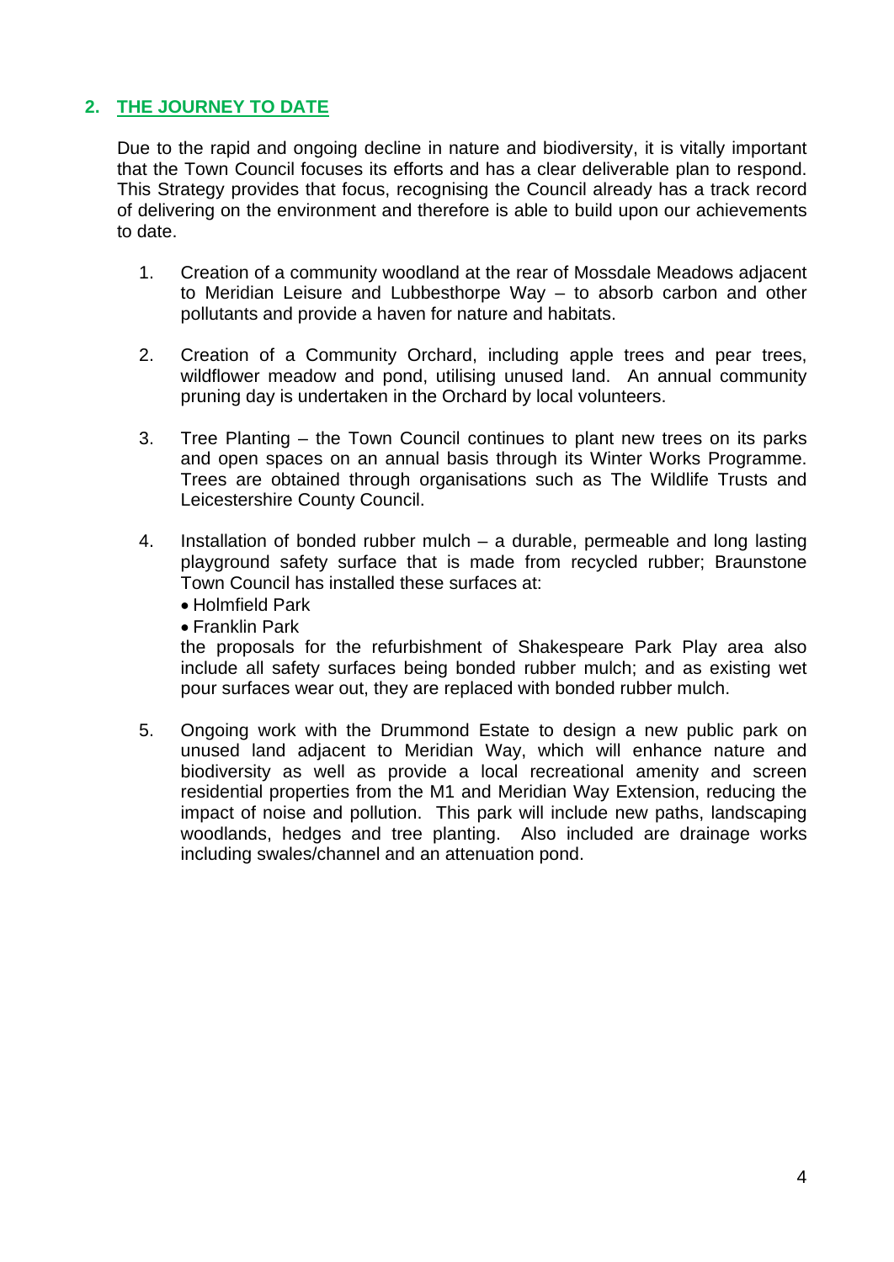#### <span id="page-3-0"></span>**2. THE JOURNEY TO DATE**

Due to the rapid and ongoing decline in nature and biodiversity, it is vitally important that the Town Council focuses its efforts and has a clear deliverable plan to respond. This Strategy provides that focus, recognising the Council already has a track record of delivering on the environment and therefore is able to build upon our achievements to date.

- 1. Creation of a community woodland at the rear of Mossdale Meadows adjacent to Meridian Leisure and Lubbesthorpe Way – to absorb carbon and other pollutants and provide a haven for nature and habitats.
- 2. Creation of a Community Orchard, including apple trees and pear trees, wildflower meadow and pond, utilising unused land. An annual community pruning day is undertaken in the Orchard by local volunteers.
- 3. Tree Planting the Town Council continues to plant new trees on its parks and open spaces on an annual basis through its Winter Works Programme. Trees are obtained through organisations such as The Wildlife Trusts and Leicestershire County Council.
- 4. Installation of bonded rubber mulch a durable, permeable and long lasting playground safety surface that is made from recycled rubber; Braunstone Town Council has installed these surfaces at:
	- Holmfield Park
	- Franklin Park

the proposals for the refurbishment of Shakespeare Park Play area also include all safety surfaces being bonded rubber mulch; and as existing wet pour surfaces wear out, they are replaced with bonded rubber mulch.

5. Ongoing work with the Drummond Estate to design a new public park on unused land adjacent to Meridian Way, which will enhance nature and biodiversity as well as provide a local recreational amenity and screen residential properties from the M1 and Meridian Way Extension, reducing the impact of noise and pollution. This park will include new paths, landscaping woodlands, hedges and tree planting. Also included are drainage works including swales/channel and an attenuation pond.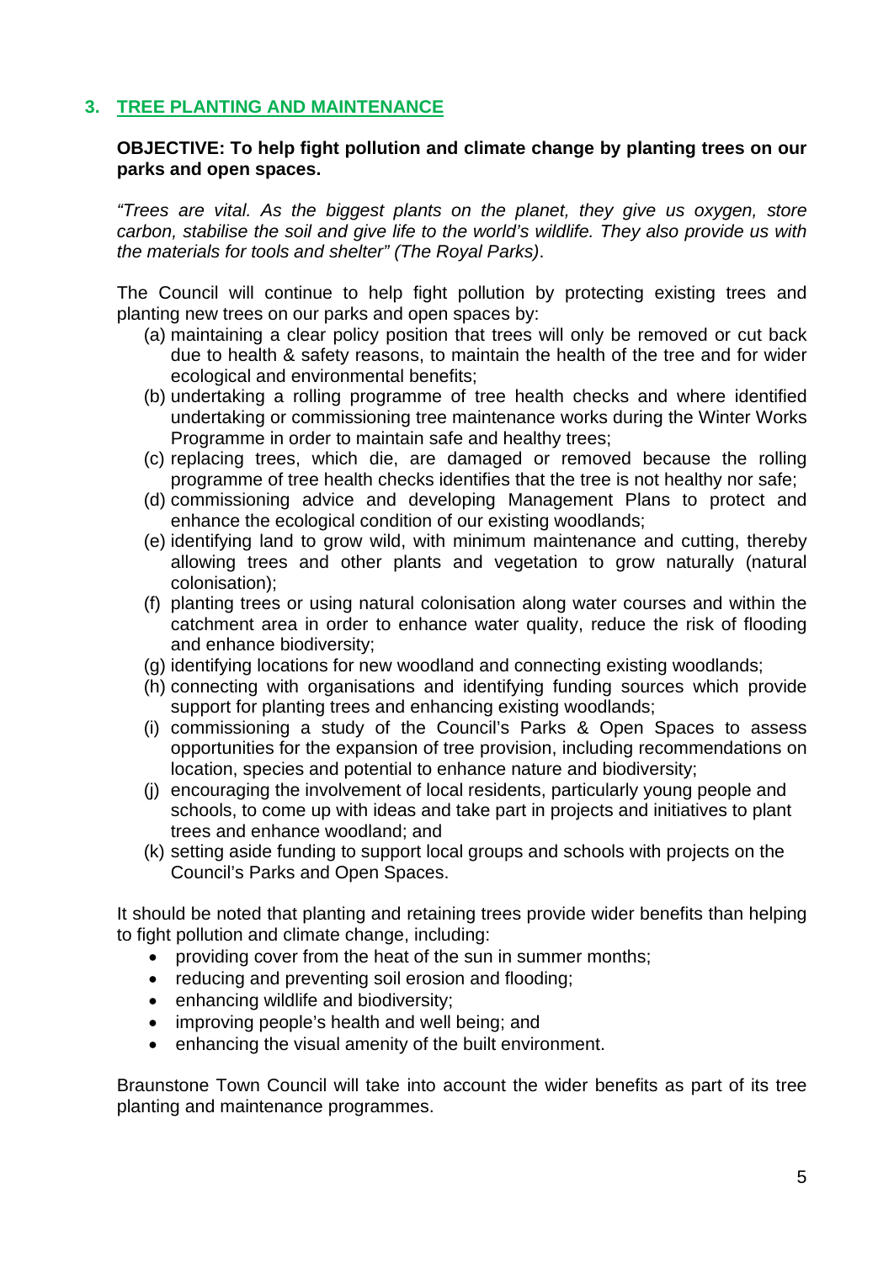#### <span id="page-4-0"></span>**3. TREE PLANTING AND MAINTENANCE**

#### **OBJECTIVE: To help fight pollution and climate change by planting trees on our parks and open spaces.**

*"Trees are vital. As the biggest plants on the planet, they give us oxygen, store carbon, stabilise the soil and give life to the world's wildlife. They also provide us with the materials for tools and shelter" (The Royal Parks)*.

The Council will continue to help fight pollution by protecting existing trees and planting new trees on our parks and open spaces by:

- (a) maintaining a clear policy position that trees will only be removed or cut back due to health & safety reasons, to maintain the health of the tree and for wider ecological and environmental benefits;
- (b) undertaking a rolling programme of tree health checks and where identified undertaking or commissioning tree maintenance works during the Winter Works Programme in order to maintain safe and healthy trees;
- (c) replacing trees, which die, are damaged or removed because the rolling programme of tree health checks identifies that the tree is not healthy nor safe;
- (d) commissioning advice and developing Management Plans to protect and enhance the ecological condition of our existing woodlands;
- (e) identifying land to grow wild, with minimum maintenance and cutting, thereby allowing trees and other plants and vegetation to grow naturally (natural colonisation);
- (f) planting trees or using natural colonisation along water courses and within the catchment area in order to enhance water quality, reduce the risk of flooding and enhance biodiversity;
- (g) identifying locations for new woodland and connecting existing woodlands;
- (h) connecting with organisations and identifying funding sources which provide support for planting trees and enhancing existing woodlands;
- (i) commissioning a study of the Council's Parks & Open Spaces to assess opportunities for the expansion of tree provision, including recommendations on location, species and potential to enhance nature and biodiversity;
- (j) encouraging the involvement of local residents, particularly young people and schools, to come up with ideas and take part in projects and initiatives to plant trees and enhance woodland; and
- (k) setting aside funding to support local groups and schools with projects on the Council's Parks and Open Spaces.

It should be noted that planting and retaining trees provide wider benefits than helping to fight pollution and climate change, including:

- providing cover from the heat of the sun in summer months;
- reducing and preventing soil erosion and flooding;
- enhancing wildlife and biodiversity;
- improving people's health and well being; and
- enhancing the visual amenity of the built environment.

Braunstone Town Council will take into account the wider benefits as part of its tree planting and maintenance programmes.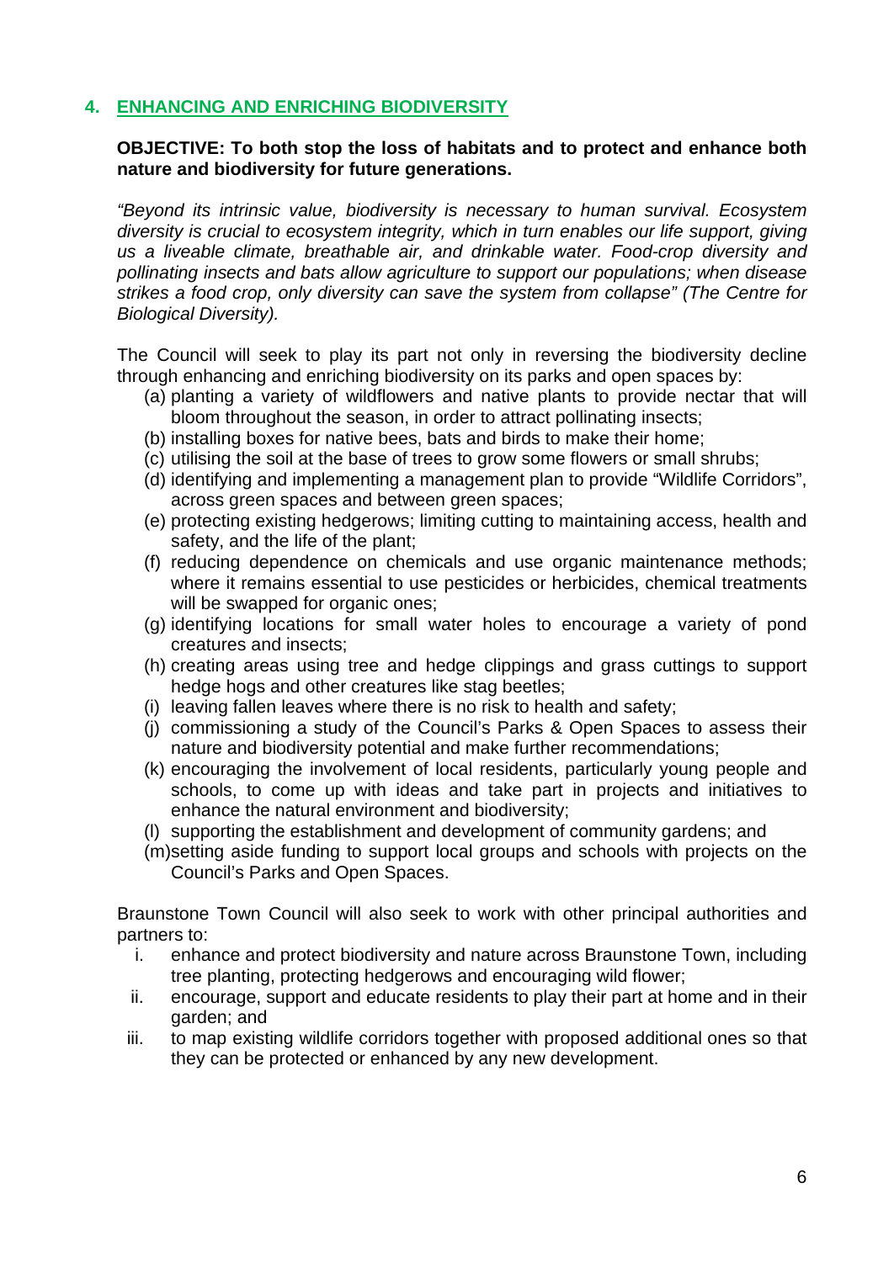#### <span id="page-5-0"></span>**4. ENHANCING AND ENRICHING BIODIVERSITY**

#### **OBJECTIVE: To both stop the loss of habitats and to protect and enhance both nature and biodiversity for future generations.**

*"Beyond its intrinsic value, biodiversity is necessary to human survival. Ecosystem diversity is crucial to ecosystem integrity, which in turn enables our life support, giving us a liveable climate, breathable air, and drinkable water. Food-crop diversity and pollinating insects and bats allow agriculture to support our populations; when disease strikes a food crop, only diversity can save the system from collapse" (The Centre for Biological Diversity).*

The Council will seek to play its part not only in reversing the biodiversity decline through enhancing and enriching biodiversity on its parks and open spaces by:

- (a) planting a variety of wildflowers and native plants to provide nectar that will bloom throughout the season, in order to attract pollinating insects;
- (b) installing boxes for native bees, bats and birds to make their home;
- (c) utilising the soil at the base of trees to grow some flowers or small shrubs;
- (d) identifying and implementing a management plan to provide "Wildlife Corridors", across green spaces and between green spaces;
- (e) protecting existing hedgerows; limiting cutting to maintaining access, health and safety, and the life of the plant;
- (f) reducing dependence on chemicals and use organic maintenance methods; where it remains essential to use pesticides or herbicides, chemical treatments will be swapped for organic ones;
- (g) identifying locations for small water holes to encourage a variety of pond creatures and insects;
- (h) creating areas using tree and hedge clippings and grass cuttings to support hedge hogs and other creatures like stag beetles;
- (i) leaving fallen leaves where there is no risk to health and safety;
- (j) commissioning a study of the Council's Parks & Open Spaces to assess their nature and biodiversity potential and make further recommendations;
- (k) encouraging the involvement of local residents, particularly young people and schools, to come up with ideas and take part in projects and initiatives to enhance the natural environment and biodiversity;
- (l) supporting the establishment and development of community gardens; and
- (m)setting aside funding to support local groups and schools with projects on the Council's Parks and Open Spaces.

Braunstone Town Council will also seek to work with other principal authorities and partners to:

- i. enhance and protect biodiversity and nature across Braunstone Town, including tree planting, protecting hedgerows and encouraging wild flower;
- ii. encourage, support and educate residents to play their part at home and in their garden; and
- iii. to map existing wildlife corridors together with proposed additional ones so that they can be protected or enhanced by any new development.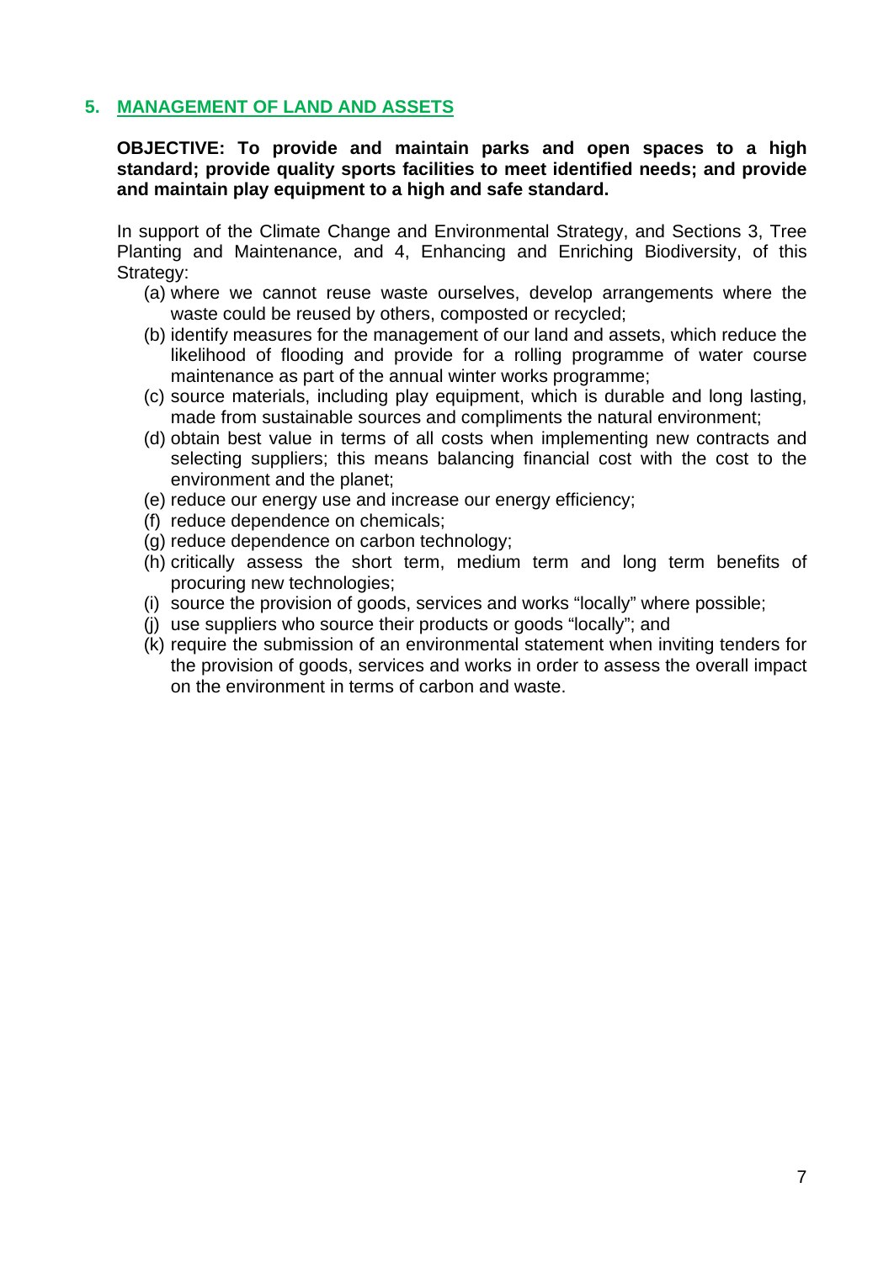#### <span id="page-6-0"></span>**5. MANAGEMENT OF LAND AND ASSETS**

#### **OBJECTIVE: To provide and maintain parks and open spaces to a high standard; provide quality sports facilities to meet identified needs; and provide and maintain play equipment to a high and safe standard.**

In support of the Climate Change and Environmental Strategy, and Sections 3, Tree Planting and Maintenance, and 4, Enhancing and Enriching Biodiversity, of this Strategy:

- (a) where we cannot reuse waste ourselves, develop arrangements where the waste could be reused by others, composted or recycled;
- (b) identify measures for the management of our land and assets, which reduce the likelihood of flooding and provide for a rolling programme of water course maintenance as part of the annual winter works programme;
- (c) source materials, including play equipment, which is durable and long lasting, made from sustainable sources and compliments the natural environment;
- (d) obtain best value in terms of all costs when implementing new contracts and selecting suppliers; this means balancing financial cost with the cost to the environment and the planet;
- (e) reduce our energy use and increase our energy efficiency;
- (f) reduce dependence on chemicals;
- (g) reduce dependence on carbon technology;
- (h) critically assess the short term, medium term and long term benefits of procuring new technologies;
- (i) source the provision of goods, services and works "locally" where possible;
- (j) use suppliers who source their products or goods "locally"; and
- (k) require the submission of an environmental statement when inviting tenders for the provision of goods, services and works in order to assess the overall impact on the environment in terms of carbon and waste.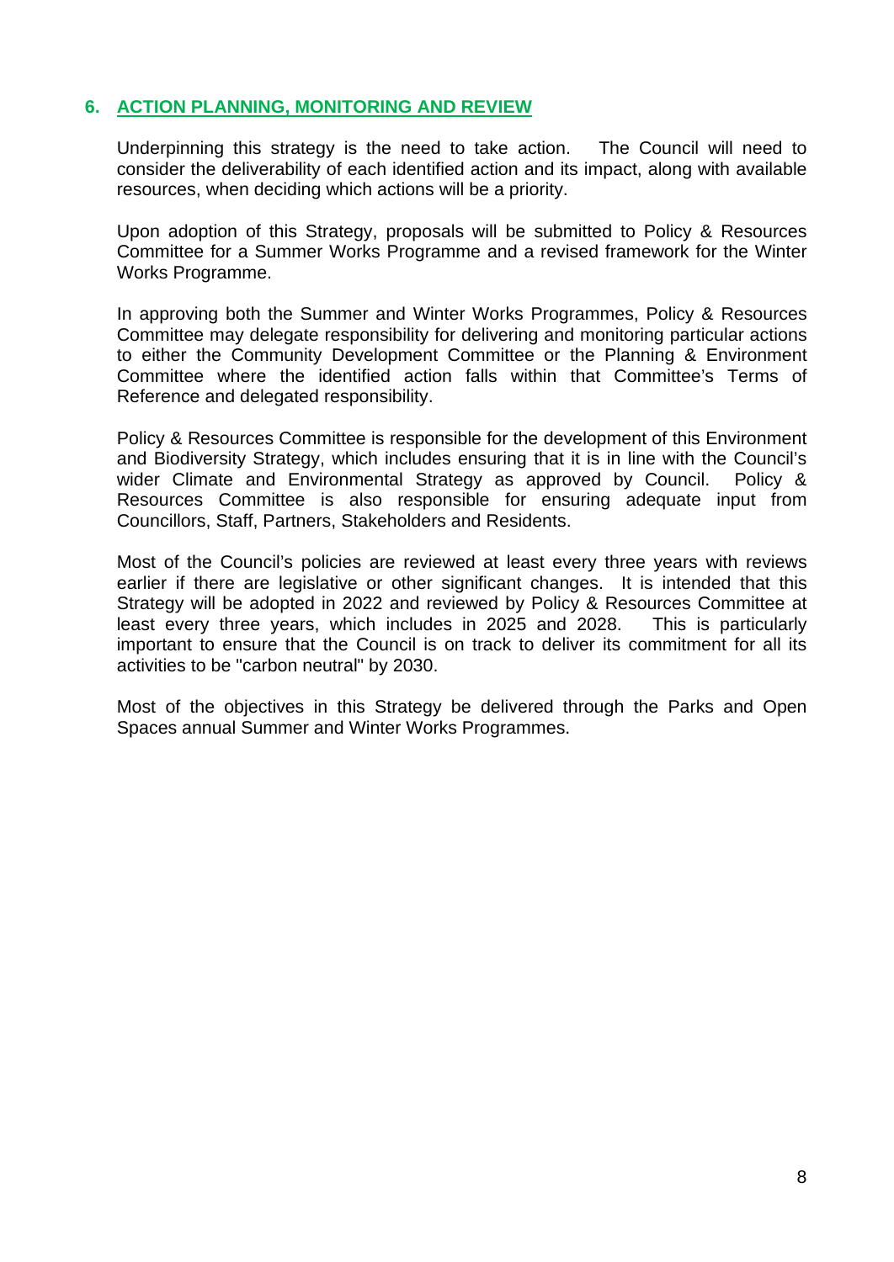#### <span id="page-7-0"></span>**6. ACTION PLANNING, MONITORING AND REVIEW**

Underpinning this strategy is the need to take action. The Council will need to consider the deliverability of each identified action and its impact, along with available resources, when deciding which actions will be a priority.

Upon adoption of this Strategy, proposals will be submitted to Policy & Resources Committee for a Summer Works Programme and a revised framework for the Winter Works Programme.

In approving both the Summer and Winter Works Programmes, Policy & Resources Committee may delegate responsibility for delivering and monitoring particular actions to either the Community Development Committee or the Planning & Environment Committee where the identified action falls within that Committee's Terms of Reference and delegated responsibility.

Policy & Resources Committee is responsible for the development of this Environment and Biodiversity Strategy, which includes ensuring that it is in line with the Council's wider Climate and Environmental Strategy as approved by Council. Policy & Resources Committee is also responsible for ensuring adequate input from Councillors, Staff, Partners, Stakeholders and Residents.

Most of the Council's policies are reviewed at least every three years with reviews earlier if there are legislative or other significant changes. It is intended that this Strategy will be adopted in 2022 and reviewed by Policy & Resources Committee at least every three years, which includes in 2025 and 2028. This is particularly important to ensure that the Council is on track to deliver its commitment for all its activities to be "carbon neutral" by 2030.

Most of the objectives in this Strategy be delivered through the Parks and Open Spaces annual Summer and Winter Works Programmes.